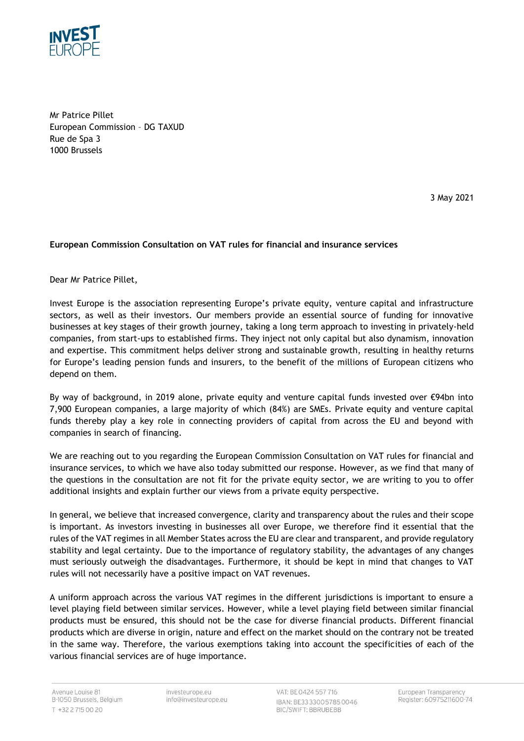

Mr Patrice Pillet European Commission – DG TAXUD Rue de Spa 3 1000 Brussels

3 May 2021

## **European Commission Consultation on VAT rules for financial and insurance services**

Dear Mr Patrice Pillet,

Invest Europe is the association representing Europe's private equity, venture capital and infrastructure sectors, as well as their investors. Our members provide an essential source of funding for innovative businesses at key stages of their growth journey, taking a long term approach to investing in privately-held companies, from start-ups to established firms. They inject not only capital but also dynamism, innovation and expertise. This commitment helps deliver strong and sustainable growth, resulting in healthy returns for Europe's leading pension funds and insurers, to the benefit of the millions of European citizens who depend on them.

By way of background, in 2019 alone, private equity and venture capital funds invested over €94bn into 7,900 European companies, a large majority of which (84%) are SMEs. Private equity and venture capital funds thereby play a key role in connecting providers of capital from across the EU and beyond with companies in search of financing.

We are reaching out to you regarding the European Commission Consultation on VAT rules for financial and insurance services, to which we have also today submitted our response. However, as we find that many of the questions in the consultation are not fit for the private equity sector, we are writing to you to offer additional insights and explain further our views from a private equity perspective.

In general, we believe that increased convergence, clarity and transparency about the rules and their scope is important. As investors investing in businesses all over Europe, we therefore find it essential that the rules of the VAT regimes in all Member States across the EU are clear and transparent, and provide regulatory stability and legal certainty. Due to the importance of regulatory stability, the advantages of any changes must seriously outweigh the disadvantages. Furthermore, it should be kept in mind that changes to VAT rules will not necessarily have a positive impact on VAT revenues.

A uniform approach across the various VAT regimes in the different jurisdictions is important to ensure a level playing field between similar services. However, while a level playing field between similar financial products must be ensured, this should not be the case for diverse financial products. Different financial products which are diverse in origin, nature and effect on the market should on the contrary not be treated in the same way. Therefore, the various exemptions taking into account the specificities of each of the various financial services are of huge importance.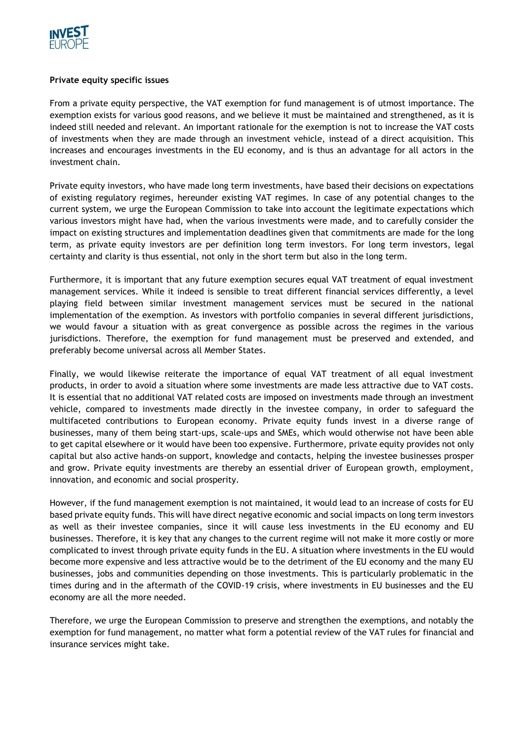

## **Private equity specific issues**

From a private equity perspective, the VAT exemption for fund management is of utmost importance. The exemption exists for various good reasons, and we believe it must be maintained and strengthened, as it is indeed still needed and relevant. An important rationale for the exemption is not to increase the VAT costs of investments when they are made through an investment vehicle, instead of a direct acquisition. This increases and encourages investments in the EU economy, and is thus an advantage for all actors in the investment chain.

Private equity investors, who have made long term investments, have based their decisions on expectations of existing regulatory regimes, hereunder existing VAT regimes. In case of any potential changes to the current system, we urge the European Commission to take into account the legitimate expectations which various investors might have had, when the various investments were made, and to carefully consider the impact on existing structures and implementation deadlines given that commitments are made for the long term, as private equity investors are per definition long term investors. For long term investors, legal certainty and clarity is thus essential, not only in the short term but also in the long term.

Furthermore, it is important that any future exemption secures equal VAT treatment of equal investment management services. While it indeed is sensible to treat different financial services differently, a level playing field between similar investment management services must be secured in the national implementation of the exemption. As investors with portfolio companies in several different jurisdictions, we would favour a situation with as great convergence as possible across the regimes in the various jurisdictions. Therefore, the exemption for fund management must be preserved and extended, and preferably become universal across all Member States.

Finally, we would likewise reiterate the importance of equal VAT treatment of all equal investment products, in order to avoid a situation where some investments are made less attractive due to VAT costs. It is essential that no additional VAT related costs are imposed on investments made through an investment vehicle, compared to investments made directly in the investee company, in order to safeguard the multifaceted contributions to European economy. Private equity funds invest in a diverse range of businesses, many of them being start-ups, scale-ups and SMEs, which would otherwise not have been able to get capital elsewhere or it would have been too expensive. Furthermore, private equity provides not only capital but also active hands-on support, knowledge and contacts, helping the investee businesses prosper and grow. Private equity investments are thereby an essential driver of European growth, employment, innovation, and economic and social prosperity.

However, if the fund management exemption is not maintained, it would lead to an increase of costs for EU based private equity funds. This will have direct negative economic and social impacts on long term investors as well as their investee companies, since it will cause less investments in the EU economy and EU businesses. Therefore, it is key that any changes to the current regime will not make it more costly or more complicated to invest through private equity funds in the EU. A situation where investments in the EU would become more expensive and less attractive would be to the detriment of the EU economy and the many EU businesses, jobs and communities depending on those investments. This is particularly problematic in the times during and in the aftermath of the COVID-19 crisis, where investments in EU businesses and the EU economy are all the more needed.

Therefore, we urge the European Commission to preserve and strengthen the exemptions, and notably the exemption for fund management, no matter what form a potential review of the VAT rules for financial and insurance services might take.